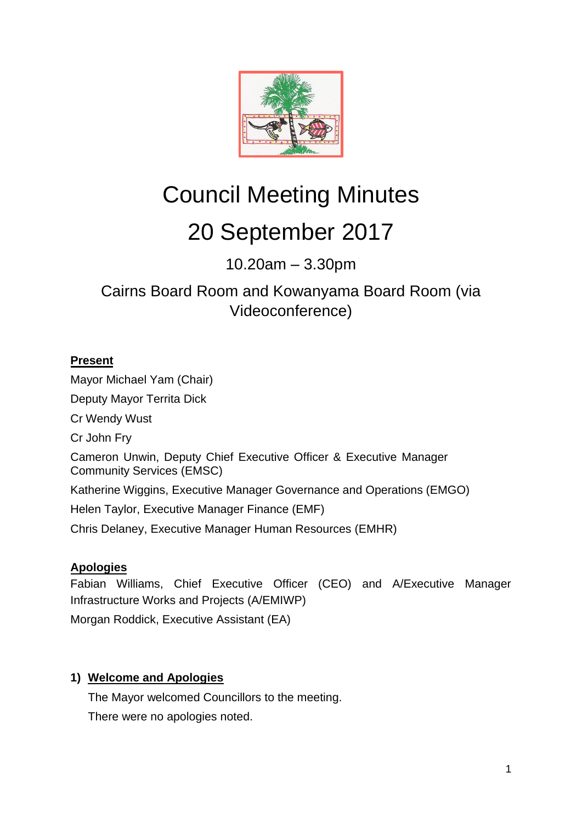

# Council Meeting Minutes 20 September 2017

10.20am – 3.30pm

# Cairns Board Room and Kowanyama Board Room (via Videoconference)

# **Present**

Mayor Michael Yam (Chair) Deputy Mayor Territa Dick Cr Wendy Wust Cr John Fry Cameron Unwin, Deputy Chief Executive Officer & Executive Manager Community Services (EMSC) Katherine Wiggins, Executive Manager Governance and Operations (EMGO) Helen Taylor, Executive Manager Finance (EMF) Chris Delaney, Executive Manager Human Resources (EMHR)

# **Apologies**

Fabian Williams, Chief Executive Officer (CEO) and A/Executive Manager Infrastructure Works and Projects (A/EMIWP) Morgan Roddick, Executive Assistant (EA)

# **1) Welcome and Apologies**

The Mayor welcomed Councillors to the meeting. There were no apologies noted.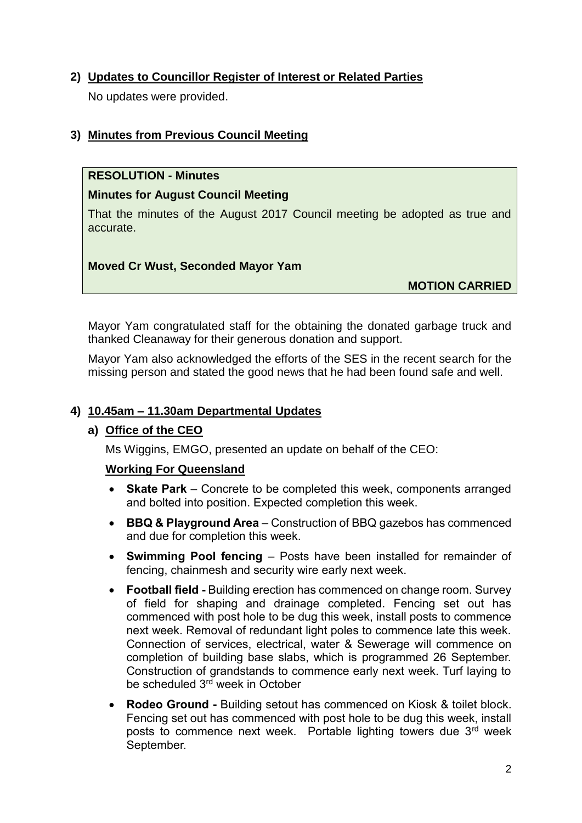# **2) Updates to Councillor Register of Interest or Related Parties**

No updates were provided.

# **3) Minutes from Previous Council Meeting**

# **RESOLUTION - Minutes**

# **Minutes for August Council Meeting**

That the minutes of the August 2017 Council meeting be adopted as true and accurate.

# **Moved Cr Wust, Seconded Mayor Yam**

**MOTION CARRIED**

Mayor Yam congratulated staff for the obtaining the donated garbage truck and thanked Cleanaway for their generous donation and support.

Mayor Yam also acknowledged the efforts of the SES in the recent search for the missing person and stated the good news that he had been found safe and well.

# **4) 10.45am – 11.30am Departmental Updates**

# **a) Office of the CEO**

Ms Wiggins, EMGO, presented an update on behalf of the CEO:

# **Working For Queensland**

- **Skate Park**  Concrete to be completed this week, components arranged and bolted into position. Expected completion this week.
- **BBQ & Playground Area**  Construction of BBQ gazebos has commenced and due for completion this week.
- **Swimming Pool fencing**  Posts have been installed for remainder of fencing, chainmesh and security wire early next week.
- **Football field -** Building erection has commenced on change room. Survey of field for shaping and drainage completed. Fencing set out has commenced with post hole to be dug this week, install posts to commence next week. Removal of redundant light poles to commence late this week. Connection of services, electrical, water & Sewerage will commence on completion of building base slabs, which is programmed 26 September. Construction of grandstands to commence early next week. Turf laying to be scheduled 3<sup>rd</sup> week in October
- **Rodeo Ground -** Building setout has commenced on Kiosk & toilet block. Fencing set out has commenced with post hole to be dug this week, install posts to commence next week. Portable lighting towers due 3rd week September.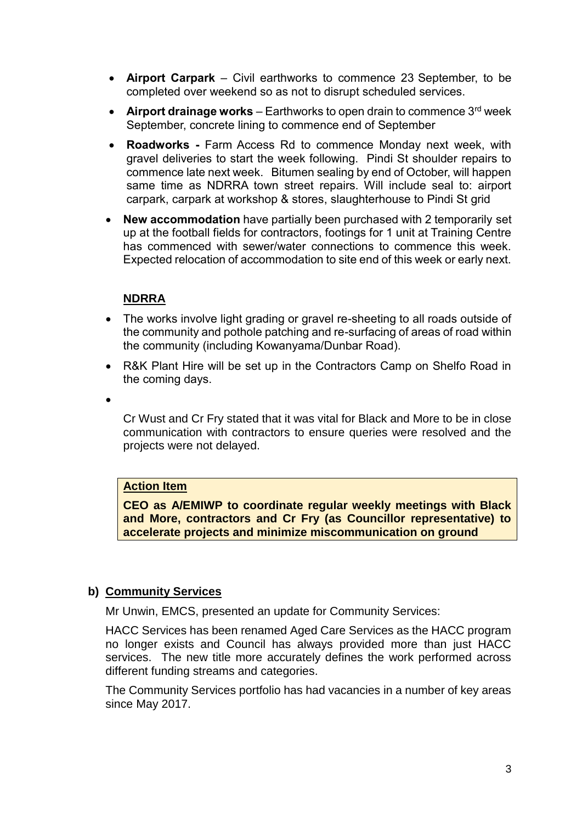- **Airport Carpark** Civil earthworks to commence 23 September, to be completed over weekend so as not to disrupt scheduled services.
- **Airport drainage works** Earthworks to open drain to commence 3<sup>rd</sup> week September, concrete lining to commence end of September
- **Roadworks -** Farm Access Rd to commence Monday next week, with gravel deliveries to start the week following. Pindi St shoulder repairs to commence late next week. Bitumen sealing by end of October, will happen same time as NDRRA town street repairs. Will include seal to: airport carpark, carpark at workshop & stores, slaughterhouse to Pindi St grid
- **New accommodation** have partially been purchased with 2 temporarily set up at the football fields for contractors, footings for 1 unit at Training Centre has commenced with sewer/water connections to commence this week. Expected relocation of accommodation to site end of this week or early next.

# **NDRRA**

- The works involve light grading or gravel re-sheeting to all roads outside of the community and pothole patching and re-surfacing of areas of road within the community (including Kowanyama/Dunbar Road).
- R&K Plant Hire will be set up in the Contractors Camp on Shelfo Road in the coming days.
- $\bullet$

Cr Wust and Cr Fry stated that it was vital for Black and More to be in close communication with contractors to ensure queries were resolved and the projects were not delayed.

#### **Action Item**

**CEO as A/EMIWP to coordinate regular weekly meetings with Black and More, contractors and Cr Fry (as Councillor representative) to accelerate projects and minimize miscommunication on ground**

# **b) Community Services**

Mr Unwin, EMCS, presented an update for Community Services:

HACC Services has been renamed Aged Care Services as the HACC program no longer exists and Council has always provided more than just HACC services. The new title more accurately defines the work performed across different funding streams and categories.

The Community Services portfolio has had vacancies in a number of key areas since May 2017.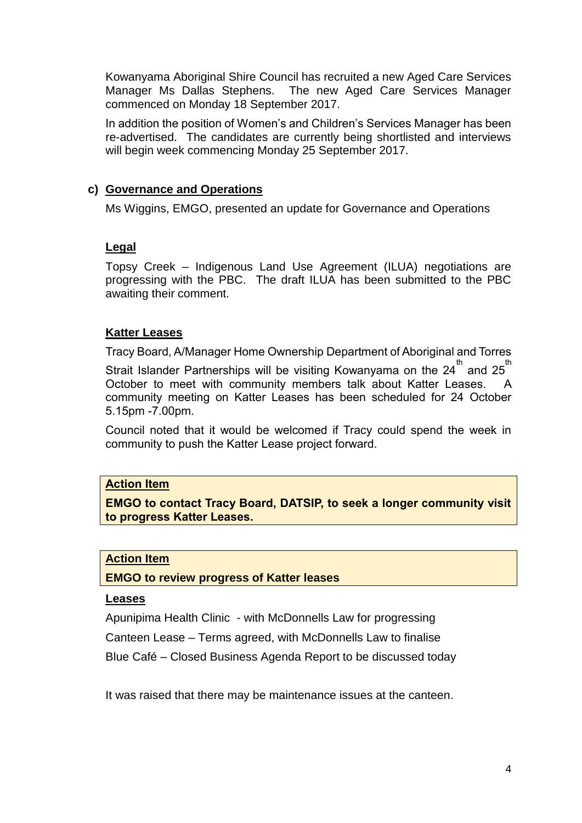Kowanyama Aboriginal Shire Council has recruited a new Aged Care Services Manager Ms Dallas Stephens. The new Aged Care Services Manager commenced on Monday 18 September 2017.

In addition the position of Women's and Children's Services Manager has been re-advertised. The candidates are currently being shortlisted and interviews will begin week commencing Monday 25 September 2017.

#### **c) Governance and Operations**

Ms Wiggins, EMGO, presented an update for Governance and Operations

# **Legal**

Topsy Creek – Indigenous Land Use Agreement (ILUA) negotiations are progressing with the PBC. The draft ILUA has been submitted to the PBC awaiting their comment.

# **Katter Leases**

Tracy Board, A/Manager Home Ownership Department of Aboriginal and Torres Strait Islander Partnerships will be visiting Kowanyama on the 24 $^{\rm th}$  and 25 $^{\rm th}$ October to meet with community members talk about Katter Leases. A community meeting on Katter Leases has been scheduled for 24 October 5.15pm -7.00pm.

Council noted that it would be welcomed if Tracy could spend the week in community to push the Katter Lease project forward.

#### **Action Item**

**EMGO to contact Tracy Board, DATSIP, to seek a longer community visit to progress Katter Leases.**

#### **Action Item**

**EMGO to review progress of Katter leases**

#### **Leases**

Apunipima Health Clinic - with McDonnells Law for progressing

Canteen Lease – Terms agreed, with McDonnells Law to finalise

Blue Café – Closed Business Agenda Report to be discussed today

It was raised that there may be maintenance issues at the canteen.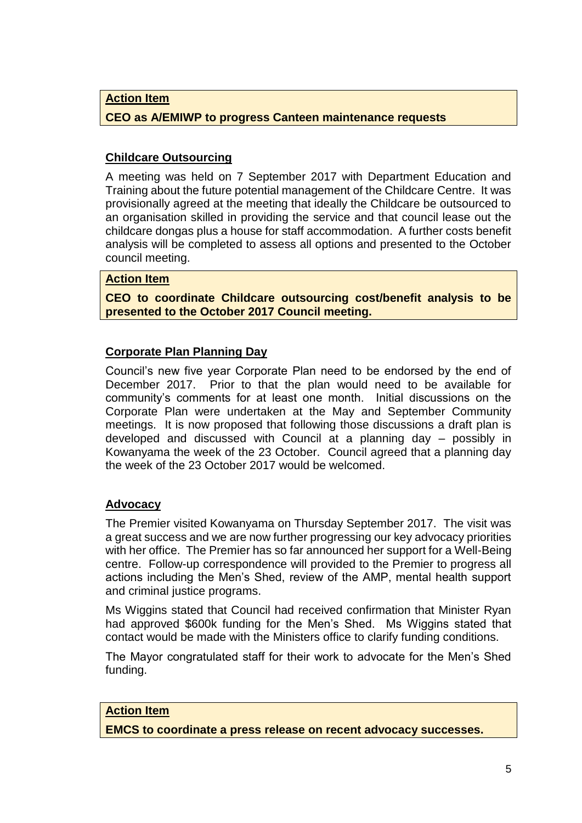**Action Item**

#### **CEO as A/EMIWP to progress Canteen maintenance requests**

# **Childcare Outsourcing**

A meeting was held on 7 September 2017 with Department Education and Training about the future potential management of the Childcare Centre. It was provisionally agreed at the meeting that ideally the Childcare be outsourced to an organisation skilled in providing the service and that council lease out the childcare dongas plus a house for staff accommodation. A further costs benefit analysis will be completed to assess all options and presented to the October council meeting.

#### **Action Item**

**CEO to coordinate Childcare outsourcing cost/benefit analysis to be presented to the October 2017 Council meeting.**

# **Corporate Plan Planning Day**

Council's new five year Corporate Plan need to be endorsed by the end of December 2017. Prior to that the plan would need to be available for community's comments for at least one month. Initial discussions on the Corporate Plan were undertaken at the May and September Community meetings. It is now proposed that following those discussions a draft plan is developed and discussed with Council at a planning day – possibly in Kowanyama the week of the 23 October. Council agreed that a planning day the week of the 23 October 2017 would be welcomed.

#### **Advocacy**

The Premier visited Kowanyama on Thursday September 2017. The visit was a great success and we are now further progressing our key advocacy priorities with her office. The Premier has so far announced her support for a Well-Being centre. Follow-up correspondence will provided to the Premier to progress all actions including the Men's Shed, review of the AMP, mental health support and criminal justice programs.

Ms Wiggins stated that Council had received confirmation that Minister Ryan had approved \$600k funding for the Men's Shed. Ms Wiggins stated that contact would be made with the Ministers office to clarify funding conditions.

The Mayor congratulated staff for their work to advocate for the Men's Shed funding.

#### **Action Item**

**EMCS to coordinate a press release on recent advocacy successes.**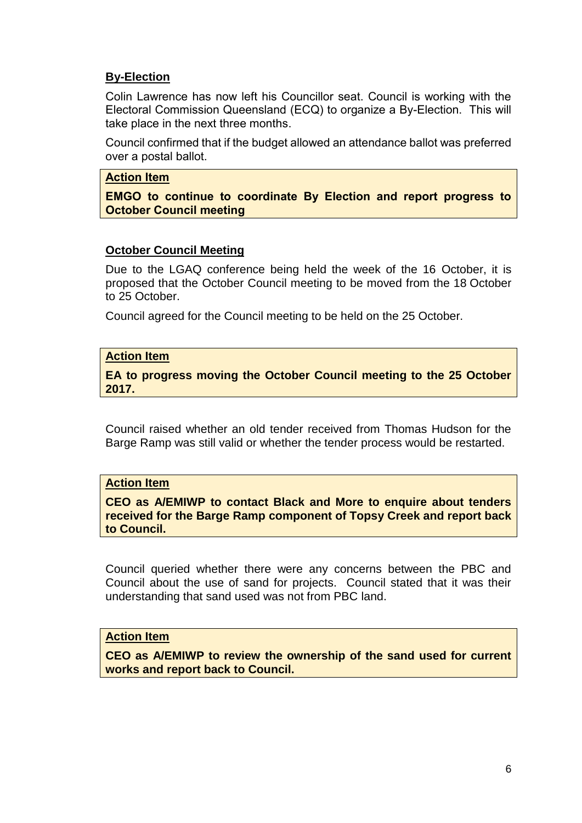# **By-Election**

Colin Lawrence has now left his Councillor seat. Council is working with the Electoral Commission Queensland (ECQ) to organize a By-Election. This will take place in the next three months.

Council confirmed that if the budget allowed an attendance ballot was preferred over a postal ballot.

#### **Action Item**

**EMGO to continue to coordinate By Election and report progress to October Council meeting** 

#### **October Council Meeting**

Due to the LGAQ conference being held the week of the 16 October, it is proposed that the October Council meeting to be moved from the 18 October to 25 October.

Council agreed for the Council meeting to be held on the 25 October.

#### **Action Item**

**EA to progress moving the October Council meeting to the 25 October 2017.**

Council raised whether an old tender received from Thomas Hudson for the Barge Ramp was still valid or whether the tender process would be restarted.

#### **Action Item**

**CEO as A/EMIWP to contact Black and More to enquire about tenders received for the Barge Ramp component of Topsy Creek and report back to Council.**

Council queried whether there were any concerns between the PBC and Council about the use of sand for projects. Council stated that it was their understanding that sand used was not from PBC land.

#### **Action Item**

**CEO as A/EMIWP to review the ownership of the sand used for current works and report back to Council.**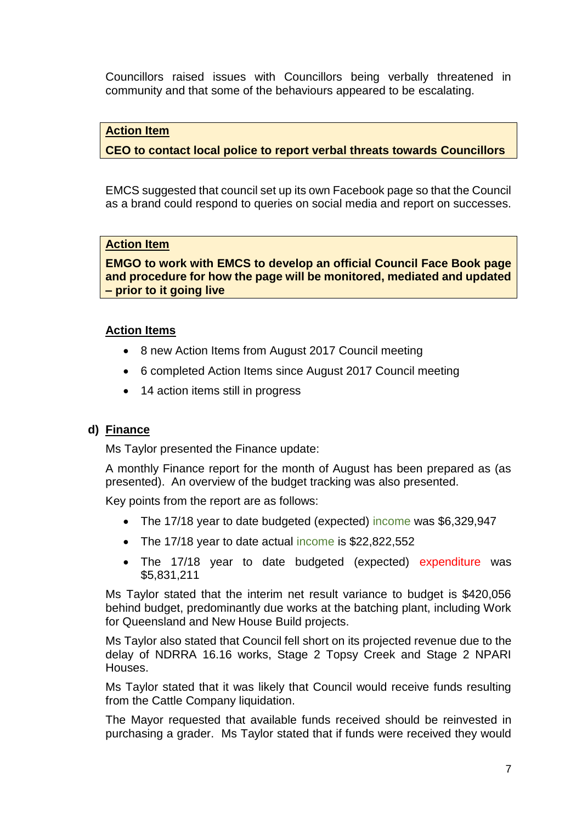Councillors raised issues with Councillors being verbally threatened in community and that some of the behaviours appeared to be escalating.

# **Action Item**

# **CEO to contact local police to report verbal threats towards Councillors**

EMCS suggested that council set up its own Facebook page so that the Council as a brand could respond to queries on social media and report on successes.

#### **Action Item**

**EMGO to work with EMCS to develop an official Council Face Book page and procedure for how the page will be monitored, mediated and updated – prior to it going live**

# **Action Items**

- 8 new Action Items from August 2017 Council meeting
- 6 completed Action Items since August 2017 Council meeting
- 14 action items still in progress

#### **d) Finance**

Ms Taylor presented the Finance update:

A monthly Finance report for the month of August has been prepared as (as presented). An overview of the budget tracking was also presented.

Key points from the report are as follows:

- The 17/18 year to date budgeted (expected) income was \$6,329,947
- The 17/18 year to date actual income is \$22,822,552
- The 17/18 year to date budgeted (expected) expenditure was \$5,831,211

Ms Taylor stated that the interim net result variance to budget is \$420,056 behind budget, predominantly due works at the batching plant, including Work for Queensland and New House Build projects.

Ms Taylor also stated that Council fell short on its projected revenue due to the delay of NDRRA 16.16 works, Stage 2 Topsy Creek and Stage 2 NPARI Houses.

Ms Taylor stated that it was likely that Council would receive funds resulting from the Cattle Company liquidation.

The Mayor requested that available funds received should be reinvested in purchasing a grader. Ms Taylor stated that if funds were received they would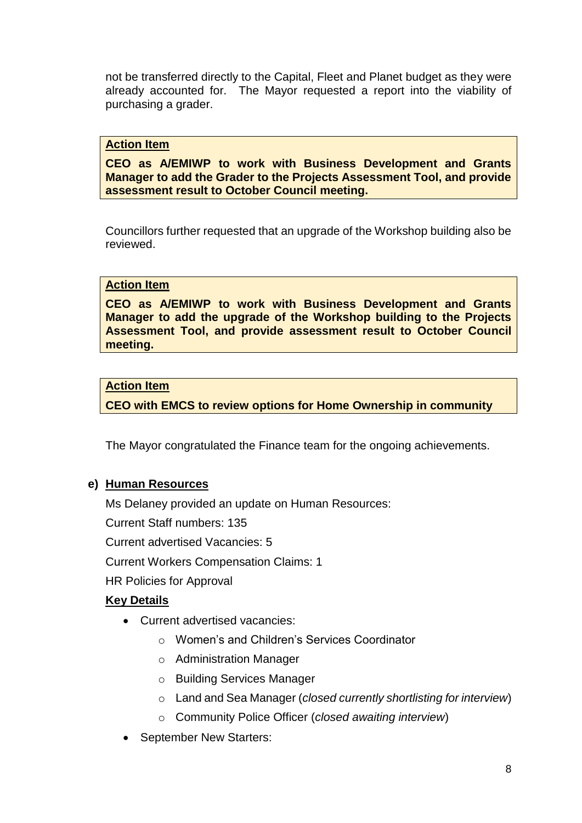not be transferred directly to the Capital, Fleet and Planet budget as they were already accounted for. The Mayor requested a report into the viability of purchasing a grader.

#### **Action Item**

**CEO as A/EMIWP to work with Business Development and Grants Manager to add the Grader to the Projects Assessment Tool, and provide assessment result to October Council meeting.**

Councillors further requested that an upgrade of the Workshop building also be reviewed.

#### **Action Item**

**CEO as A/EMIWP to work with Business Development and Grants Manager to add the upgrade of the Workshop building to the Projects Assessment Tool, and provide assessment result to October Council meeting.**

#### **Action Item**

**CEO with EMCS to review options for Home Ownership in community**

The Mayor congratulated the Finance team for the ongoing achievements.

# **e) Human Resources**

Ms Delaney provided an update on Human Resources:

Current Staff numbers: 135

Current advertised Vacancies: 5

Current Workers Compensation Claims: 1

HR Policies for Approval

# **Key Details**

- Current advertised vacancies:
	- o Women's and Children's Services Coordinator
	- o Administration Manager
	- o Building Services Manager
	- o Land and Sea Manager (*closed currently shortlisting for interview*)
	- o Community Police Officer (*closed awaiting interview*)
- September New Starters: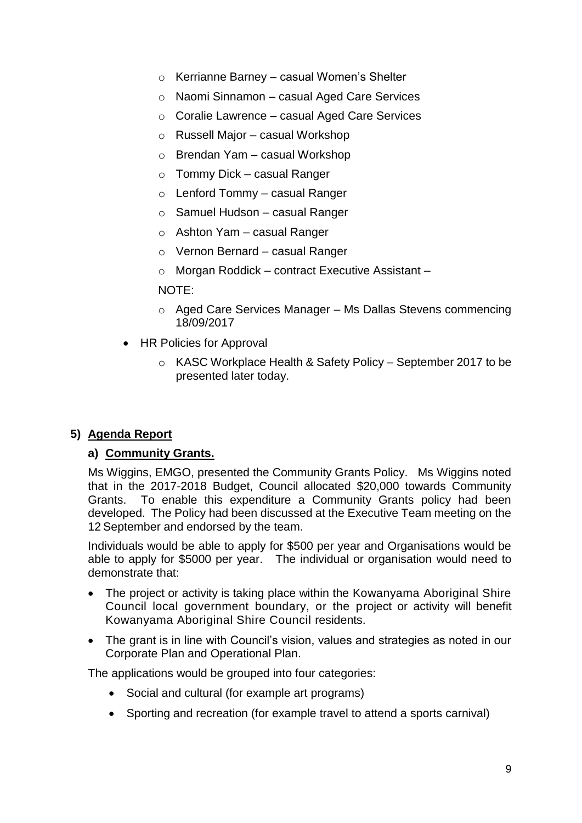- o Kerrianne Barney casual Women's Shelter
- o Naomi Sinnamon casual Aged Care Services
- o Coralie Lawrence casual Aged Care Services
- o Russell Major casual Workshop
- o Brendan Yam casual Workshop
- o Tommy Dick casual Ranger
- $\circ$  Lenford Tommy casual Ranger
- o Samuel Hudson casual Ranger
- $\circ$  Ashton Yam casual Ranger
- o Vernon Bernard casual Ranger
- o Morgan Roddick contract Executive Assistant –

#### NOTE:

- $\circ$  Aged Care Services Manager Ms Dallas Stevens commencing 18/09/2017
- HR Policies for Approval
	- o KASC Workplace Health & Safety Policy September 2017 to be presented later today.

# **5) Agenda Report**

#### **a) Community Grants.**

Ms Wiggins, EMGO, presented the Community Grants Policy. Ms Wiggins noted that in the 2017-2018 Budget, Council allocated \$20,000 towards Community Grants. To enable this expenditure a Community Grants policy had been developed. The Policy had been discussed at the Executive Team meeting on the 12 September and endorsed by the team.

Individuals would be able to apply for \$500 per year and Organisations would be able to apply for \$5000 per year. The individual or organisation would need to demonstrate that:

- The project or activity is taking place within the Kowanyama Aboriginal Shire Council local government boundary, or the project or activity will benefit Kowanyama Aboriginal Shire Council residents.
- The grant is in line with Council's vision, values and strategies as noted in our Corporate Plan and Operational Plan.

The applications would be grouped into four categories:

- Social and cultural (for example art programs)
- Sporting and recreation (for example travel to attend a sports carnival)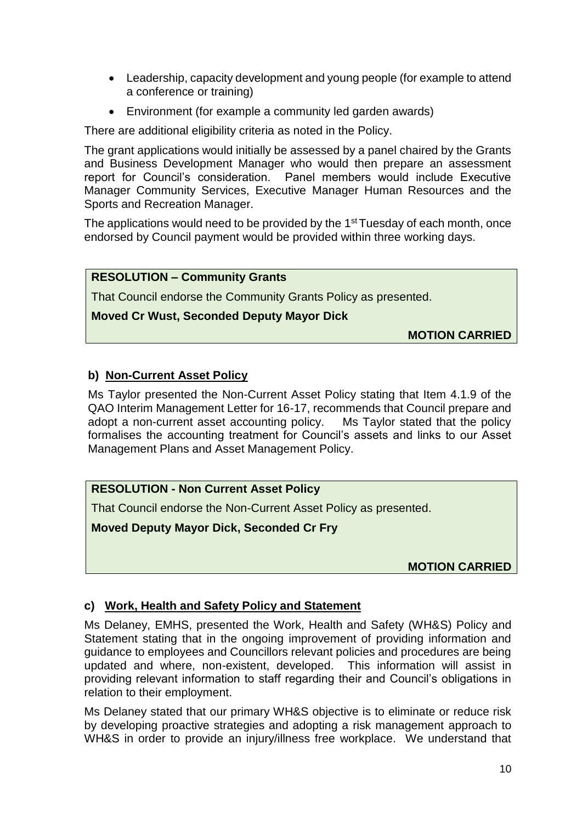- Leadership, capacity development and young people (for example to attend a conference or training)
- Environment (for example a community led garden awards)

There are additional eligibility criteria as noted in the Policy.

The grant applications would initially be assessed by a panel chaired by the Grants and Business Development Manager who would then prepare an assessment report for Council's consideration. Panel members would include Executive Manager Community Services, Executive Manager Human Resources and the Sports and Recreation Manager.

The applications would need to be provided by the 1<sup>st</sup> Tuesday of each month, once endorsed by Council payment would be provided within three working days.

# **RESOLUTION – Community Grants**

That Council endorse the Community Grants Policy as presented.

# **Moved Cr Wust, Seconded Deputy Mayor Dick**

**MOTION CARRIED**

# **b) Non-Current Asset Policy**

Ms Taylor presented the Non-Current Asset Policy stating that Item 4.1.9 of the QAO Interim Management Letter for 16-17, recommends that Council prepare and adopt a non-current asset accounting policy. Ms Taylor stated that the policy formalises the accounting treatment for Council's assets and links to our Asset Management Plans and Asset Management Policy.

# **RESOLUTION - Non Current Asset Policy**

That Council endorse the Non-Current Asset Policy as presented.

**Moved Deputy Mayor Dick, Seconded Cr Fry**

**MOTION CARRIED**

# **c) Work, Health and Safety Policy and Statement**

Ms Delaney, EMHS, presented the Work, Health and Safety (WH&S) Policy and Statement stating that in the ongoing improvement of providing information and guidance to employees and Councillors relevant policies and procedures are being updated and where, non-existent, developed. This information will assist in providing relevant information to staff regarding their and Council's obligations in relation to their employment.

Ms Delaney stated that our primary WH&S objective is to eliminate or reduce risk by developing proactive strategies and adopting a risk management approach to WH&S in order to provide an injury/illness free workplace. We understand that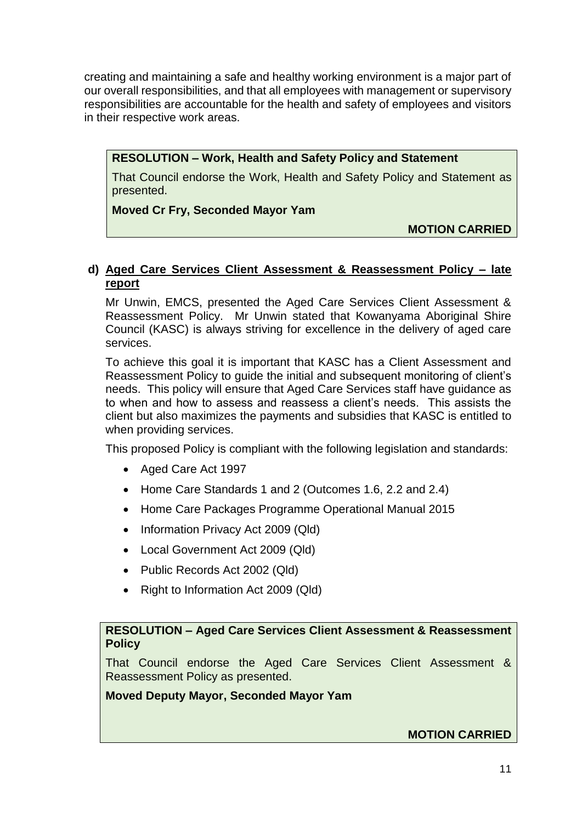creating and maintaining a safe and healthy working environment is a major part of our overall responsibilities, and that all employees with management or supervisory responsibilities are accountable for the health and safety of employees and visitors in their respective work areas.

**RESOLUTION – Work, Health and Safety Policy and Statement**

That Council endorse the Work, Health and Safety Policy and Statement as presented.

# **Moved Cr Fry, Seconded Mayor Yam**

**MOTION CARRIED**

# **d) Aged Care Services Client Assessment & Reassessment Policy – late report**

Mr Unwin, EMCS, presented the Aged Care Services Client Assessment & Reassessment Policy. Mr Unwin stated that Kowanyama Aboriginal Shire Council (KASC) is always striving for excellence in the delivery of aged care services.

To achieve this goal it is important that KASC has a Client Assessment and Reassessment Policy to guide the initial and subsequent monitoring of client's needs. This policy will ensure that Aged Care Services staff have guidance as to when and how to assess and reassess a client's needs. This assists the client but also maximizes the payments and subsidies that KASC is entitled to when providing services.

This proposed Policy is compliant with the following legislation and standards:

- Aged Care Act 1997
- Home Care Standards 1 and 2 (Outcomes 1.6, 2.2 and 2.4)
- Home Care Packages Programme Operational Manual 2015
- Information Privacy Act 2009 (Qld)
- Local Government Act 2009 (Qld)
- Public Records Act 2002 (Qld)
- Right to Information Act 2009 (Qld)

# **RESOLUTION – Aged Care Services Client Assessment & Reassessment Policy**

That Council endorse the Aged Care Services Client Assessment & Reassessment Policy as presented.

# **Moved Deputy Mayor, Seconded Mayor Yam**

# **MOTION CARRIED**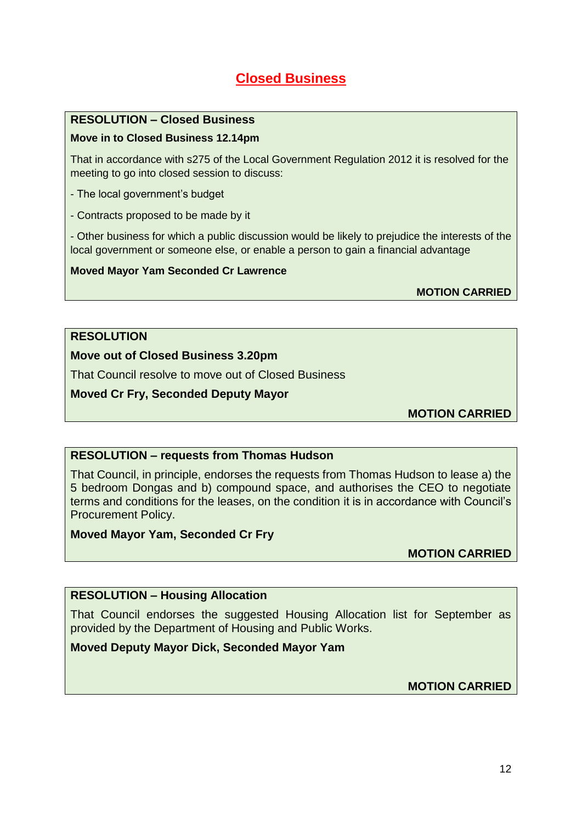# **Closed Business**

#### **RESOLUTION – Closed Business**

#### **Move in to Closed Business 12.14pm**

That in accordance with s275 of the Local Government Regulation 2012 it is resolved for the meeting to go into closed session to discuss:

- The local government's budget
- Contracts proposed to be made by it

- Other business for which a public discussion would be likely to prejudice the interests of the local government or someone else, or enable a person to gain a financial advantage

#### **Moved Mayor Yam Seconded Cr Lawrence**

**MOTION CARRIED**

#### **RESOLUTION**

#### **Move out of Closed Business 3.20pm**

That Council resolve to move out of Closed Business

#### **Moved Cr Fry, Seconded Deputy Mayor**

**MOTION CARRIED**

#### **RESOLUTION – requests from Thomas Hudson**

That Council, in principle, endorses the requests from Thomas Hudson to lease a) the 5 bedroom Dongas and b) compound space, and authorises the CEO to negotiate terms and conditions for the leases, on the condition it is in accordance with Council's Procurement Policy.

#### **Moved Mayor Yam, Seconded Cr Fry**

**MOTION CARRIED**

#### **RESOLUTION – Housing Allocation**

That Council endorses the suggested Housing Allocation list for September as provided by the Department of Housing and Public Works.

#### **Moved Deputy Mayor Dick, Seconded Mayor Yam**

**MOTION CARRIED**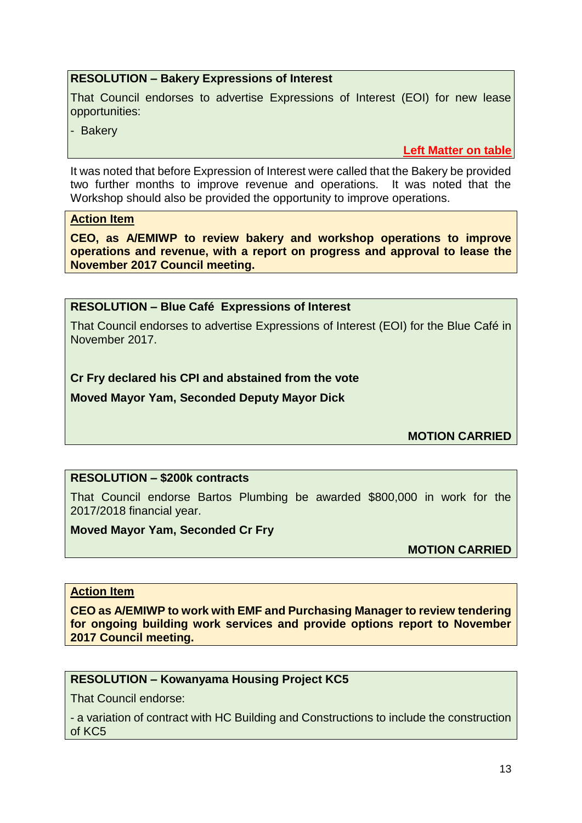# **RESOLUTION – Bakery Expressions of Interest**

That Council endorses to advertise Expressions of Interest (EOI) for new lease opportunities:

- Bakery

**Left Matter on table**

It was noted that before Expression of Interest were called that the Bakery be provided two further months to improve revenue and operations. It was noted that the Workshop should also be provided the opportunity to improve operations.

#### **Action Item**

**CEO, as A/EMIWP to review bakery and workshop operations to improve operations and revenue, with a report on progress and approval to lease the November 2017 Council meeting.**

#### **RESOLUTION – Blue Café Expressions of Interest**

That Council endorses to advertise Expressions of Interest (EOI) for the Blue Café in November 2017.

# **Cr Fry declared his CPI and abstained from the vote**

**Moved Mayor Yam, Seconded Deputy Mayor Dick**

**MOTION CARRIED**

# **RESOLUTION – \$200k contracts**

That Council endorse Bartos Plumbing be awarded \$800,000 in work for the 2017/2018 financial year.

#### **Moved Mayor Yam, Seconded Cr Fry**

**MOTION CARRIED**

#### **Action Item**

**CEO as A/EMIWP to work with EMF and Purchasing Manager to review tendering for ongoing building work services and provide options report to November 2017 Council meeting.**

#### **RESOLUTION – Kowanyama Housing Project KC5**

That Council endorse:

- a variation of contract with HC Building and Constructions to include the construction of KC5